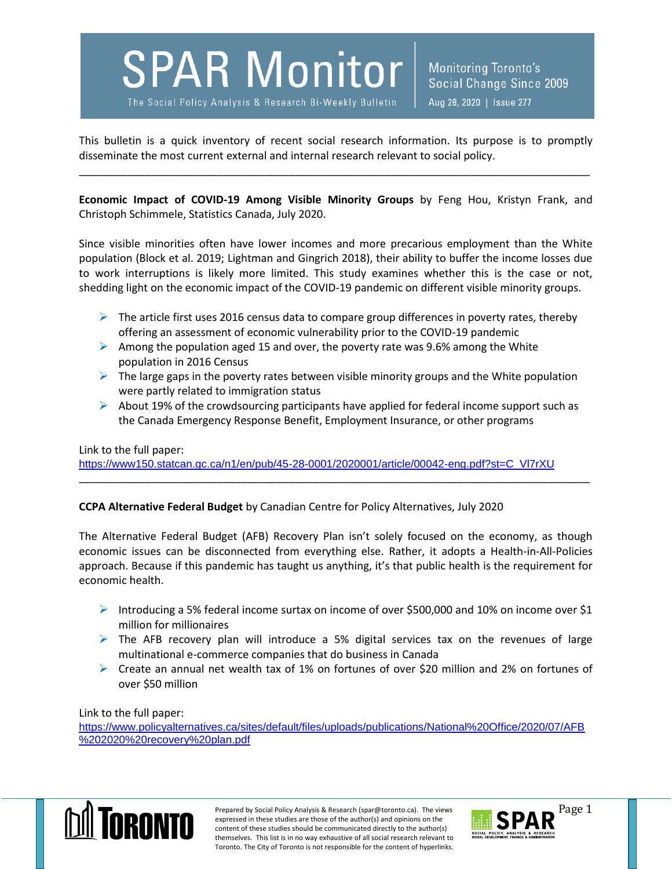**SPAR Monitor** 

The Social Policy Analysis & Research Bi-Weekly Bulletin

Monitoring Toronto's Social Change Since 2009 Aug 28, 2020 | Issue 277

This bulletin is a quick inventory of recent social research information. Its purpose is to promptly disseminate the most current external and internal research relevant to social policy.

\_\_\_\_\_\_\_\_\_\_\_\_\_\_\_\_\_\_\_\_\_\_\_\_\_\_\_\_\_\_\_\_\_\_\_\_\_\_\_\_\_\_\_\_\_\_\_\_\_\_\_\_\_\_\_\_\_\_\_\_\_\_\_\_\_\_\_\_\_\_\_\_\_\_\_\_\_\_\_\_\_\_\_\_\_

**Economic Impact of COVID-19 Among Visible Minority Groups** by Feng Hou, Kristyn Frank, and Christoph Schimmele, Statistics Canada, July 2020.

Since visible minorities often have lower incomes and more precarious employment than the White population (Block et al. 2019; Lightman and Gingrich 2018), their ability to buffer the income losses due to work interruptions is likely more limited. This study examines whether this is the case or not, shedding light on the economic impact of the COVID-19 pandemic on different visible minority groups.

- $\triangleright$  The article first uses 2016 census data to compare group differences in poverty rates, thereby offering an assessment of economic vulnerability prior to the COVID-19 pandemic
- Among the population aged 15 and over, the poverty rate was 9.6% among the White population in 2016 Census
- $\triangleright$  The large gaps in the poverty rates between visible minority groups and the White population were partly related to immigration status
- $\triangleright$  About 19% of the crowdsourcing participants have applied for federal income support such as the Canada Emergency Response Benefit, Employment Insurance, or other programs

\_\_\_\_\_\_\_\_\_\_\_\_\_\_\_\_\_\_\_\_\_\_\_\_\_\_\_\_\_\_\_\_\_\_\_\_\_\_\_\_\_\_\_\_\_\_\_\_\_\_\_\_\_\_\_\_\_\_\_\_\_\_\_\_\_\_\_\_\_\_\_\_\_\_\_\_\_\_\_\_\_\_\_\_\_

Link to the full paper:

[https://www150.statcan.gc.ca/n1/en/pub/45-28-0001/2020001/article/00042-eng.pdf?st=C\\_Vl7rXU](https://www150.statcan.gc.ca/n1/en/pub/45-28-0001/2020001/article/00042-eng.pdf?st=C_Vl7rXU)

## **CCPA Alternative Federal Budget** by Canadian Centre for Policy Alternatives, July 2020

The Alternative Federal Budget (AFB) Recovery Plan isn't solely focused on the economy, as though economic issues can be disconnected from everything else. Rather, it adopts a Health-in-All-Policies approach. Because if this pandemic has taught us anything, it's that public health is the requirement for economic health.

- Introducing a 5% federal income surtax on income of over \$500,000 and 10% on income over \$1 million for millionaires
- $\triangleright$  The AFB recovery plan will introduce a 5% digital services tax on the revenues of large multinational e-commerce companies that do business in Canada
- $\triangleright$  Create an annual net wealth tax of 1% on fortunes of over \$20 million and 2% on fortunes of over \$50 million

Link to the full paper:

[https://www.policyalternatives.ca/sites/default/files/uploads/publications/National%20Office/2020/07/AFB](https://www.policyalternatives.ca/sites/default/files/uploads/publications/National%20Office/2020/07/AFB%202020%20recovery%20plan.pdf) [%202020%20recovery%20plan.pdf](https://www.policyalternatives.ca/sites/default/files/uploads/publications/National%20Office/2020/07/AFB%202020%20recovery%20plan.pdf)



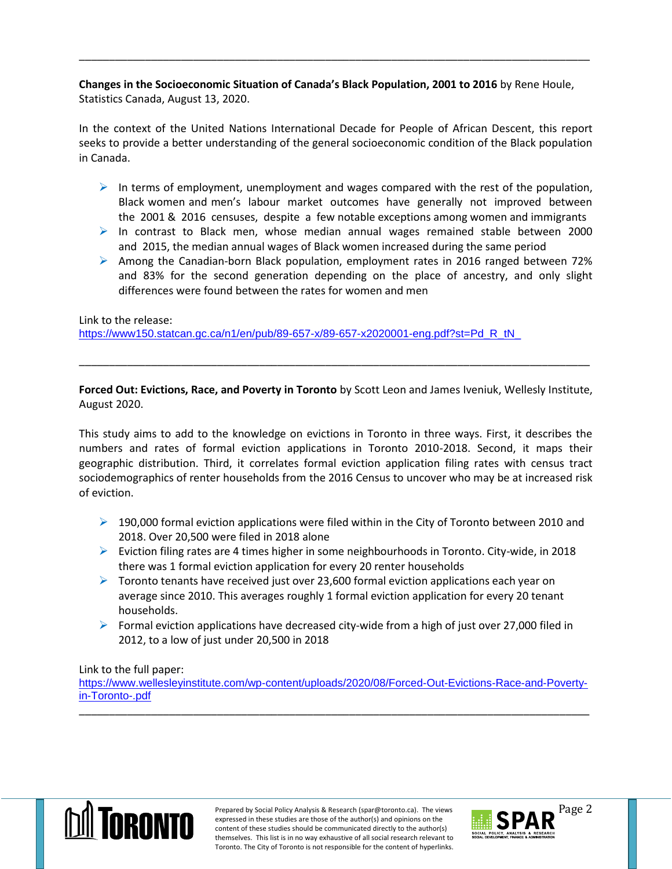**Changes in the Socioeconomic Situation of Canada's Black Population, 2001 to 2016** by Rene Houle, Statistics Canada, August 13, 2020.

\_\_\_\_\_\_\_\_\_\_\_\_\_\_\_\_\_\_\_\_\_\_\_\_\_\_\_\_\_\_\_\_\_\_\_\_\_\_\_\_\_\_\_\_\_\_\_\_\_\_\_\_\_\_\_\_\_\_\_\_\_\_\_\_\_\_\_\_\_\_\_\_\_\_\_\_\_\_\_\_\_\_\_\_\_

In the context of the United Nations International Decade for People of African Descent, this report seeks to provide a better understanding of the general socioeconomic condition of the Black population in Canada.

- In terms of employment, unemployment and wages compared with the rest of the population, Black women and men's labour market outcomes have generally not improved between the 2001 & 2016 censuses, despite a few notable exceptions among women and immigrants
- In contrast to Black men, whose median annual wages remained stable between 2000 and 2015, the median annual wages of Black women increased during the same period
- $\triangleright$  Among the Canadian-born Black population, employment rates in 2016 ranged between 72% and 83% for the second generation depending on the place of ancestry, and only slight differences were found between the rates for women and men

Link to the release:

[https://www150.statcan.gc.ca/n1/en/pub/89-657-x/89-657-x2020001-eng.pdf?st=Pd\\_R\\_tN\\_](https://www150.statcan.gc.ca/n1/en/pub/89-657-x/89-657-x2020001-eng.pdf?st=Pd_R_tN_)

**Forced Out: Evictions, Race, and Poverty in Toronto** by Scott Leon and James Iveniuk, Wellesly Institute, August 2020.

\_\_\_\_\_\_\_\_\_\_\_\_\_\_\_\_\_\_\_\_\_\_\_\_\_\_\_\_\_\_\_\_\_\_\_\_\_\_\_\_\_\_\_\_\_\_\_\_\_\_\_\_\_\_\_\_\_\_\_\_\_\_\_\_\_\_\_\_\_\_\_\_\_\_\_\_\_\_\_\_\_\_\_\_\_

This study aims to add to the knowledge on evictions in Toronto in three ways. First, it describes the numbers and rates of formal eviction applications in Toronto 2010-2018. Second, it maps their geographic distribution. Third, it correlates formal eviction application filing rates with census tract sociodemographics of renter households from the 2016 Census to uncover who may be at increased risk of eviction.

- $\triangleright$  190,000 formal eviction applications were filed within in the City of Toronto between 2010 and 2018. Over 20,500 were filed in 2018 alone
- Eviction filing rates are 4 times higher in some neighbourhoods in Toronto. City-wide, in 2018 there was 1 formal eviction application for every 20 renter households
- $\triangleright$  Toronto tenants have received just over 23,600 formal eviction applications each year on average since 2010. This averages roughly 1 formal eviction application for every 20 tenant households.
- Formal eviction applications have decreased city-wide from a high of just over 27,000 filed in 2012, to a low of just under 20,500 in 2018

Link to the full paper:

[https://www.wellesleyinstitute.com/wp-content/uploads/2020/08/Forced-Out-Evictions-Race-and-Poverty](https://www.wellesleyinstitute.com/wp-content/uploads/2020/08/Forced-Out-Evictions-Race-and-Poverty-in-Toronto-.pdf)[in-Toronto-.pdf](https://www.wellesleyinstitute.com/wp-content/uploads/2020/08/Forced-Out-Evictions-Race-and-Poverty-in-Toronto-.pdf) \_\_\_\_\_\_\_\_\_\_\_\_\_\_\_\_\_\_\_\_\_\_\_\_\_\_\_\_\_\_\_\_\_\_\_\_\_\_\_\_\_\_\_\_\_\_\_\_\_\_\_\_\_\_\_\_\_\_\_\_\_\_\_\_\_\_\_\_\_\_\_\_\_\_\_\_\_\_\_\_\_\_\_\_\_